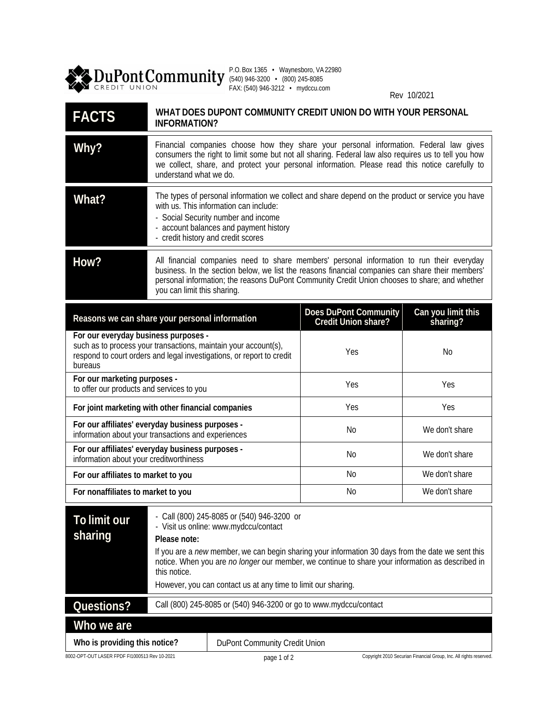

P.O. Box 1365 • Waynesboro, VA 22980 (540) 946-3200 • (800) 245-8085 FAX: (540) 946-3212 • mydccu.com

Rev 10/2021

| <b>FACTS</b>                                                                                                                                                                                | WHAT DOES DUPONT COMMUNITY CREDIT UNION DO WITH YOUR PERSONAL<br>INFORMATION?                                                                                                                                                                                                                                                                                                               |                                              |                                                                    |
|---------------------------------------------------------------------------------------------------------------------------------------------------------------------------------------------|---------------------------------------------------------------------------------------------------------------------------------------------------------------------------------------------------------------------------------------------------------------------------------------------------------------------------------------------------------------------------------------------|----------------------------------------------|--------------------------------------------------------------------|
| Why?                                                                                                                                                                                        | Financial companies choose how they share your personal information. Federal law gives<br>consumers the right to limit some but not all sharing. Federal law also requires us to tell you how<br>we collect, share, and protect your personal information. Please read this notice carefully to<br>understand what we do.                                                                   |                                              |                                                                    |
| What?                                                                                                                                                                                       | The types of personal information we collect and share depend on the product or service you have<br>with us. This information can include:<br>- Social Security number and income<br>- account balances and payment history<br>- credit history and credit scores                                                                                                                           |                                              |                                                                    |
| How?                                                                                                                                                                                        | All financial companies need to share members' personal information to run their everyday<br>business. In the section below, we list the reasons financial companies can share their members'<br>personal information; the reasons DuPont Community Credit Union chooses to share; and whether<br>you can limit this sharing.                                                               |                                              |                                                                    |
| Reasons we can share your personal information                                                                                                                                              |                                                                                                                                                                                                                                                                                                                                                                                             | Does DuPont Community<br>Credit Union share? | Can you limit this<br>sharing?                                     |
| For our everyday business purposes -<br>such as to process your transactions, maintain your account(s),<br>respond to court orders and legal investigations, or report to credit<br>bureaus |                                                                                                                                                                                                                                                                                                                                                                                             | Yes                                          | No                                                                 |
| For our marketing purposes -<br>to offer our products and services to you                                                                                                                   |                                                                                                                                                                                                                                                                                                                                                                                             | Yes                                          | Yes                                                                |
| For joint marketing with other financial companies                                                                                                                                          |                                                                                                                                                                                                                                                                                                                                                                                             | Yes                                          | Yes                                                                |
| For our affiliates' everyday business purposes -<br>information about your transactions and experiences                                                                                     |                                                                                                                                                                                                                                                                                                                                                                                             | No                                           | We don't share                                                     |
| For our affiliates' everyday business purposes -<br>information about your creditworthiness                                                                                                 |                                                                                                                                                                                                                                                                                                                                                                                             | N <sub>o</sub>                               | We don't share                                                     |
| For our affiliates to market to you                                                                                                                                                         |                                                                                                                                                                                                                                                                                                                                                                                             | No                                           | We don't share                                                     |
| For nonaffiliates to market to you                                                                                                                                                          |                                                                                                                                                                                                                                                                                                                                                                                             | N <sub>o</sub>                               | We don't share                                                     |
| To limit our<br>sharing                                                                                                                                                                     | Call (800) 245-8085 or (540) 946-3200 or<br>- Visit us online: www.mydccu/contact<br>Please note:<br>If you are a new member, we can begin sharing your information 30 days from the date we sent this<br>notice. When you are no longer our member, we continue to share your information as described in<br>this notice.<br>However, you can contact us at any time to limit our sharing. |                                              |                                                                    |
| Questions?                                                                                                                                                                                  | Call (800) 245-8085 or (540) 946-3200 or go to www.mydccu/contact                                                                                                                                                                                                                                                                                                                           |                                              |                                                                    |
| Who we are                                                                                                                                                                                  |                                                                                                                                                                                                                                                                                                                                                                                             |                                              |                                                                    |
| Who is providing this notice?                                                                                                                                                               |                                                                                                                                                                                                                                                                                                                                                                                             | DuPont Community Credit Union                |                                                                    |
| 8002-OPT-OUT LASER FPDF FI1000513 Rev 10-2021                                                                                                                                               | page 1 of 2                                                                                                                                                                                                                                                                                                                                                                                 |                                              | Copyright 2010 Securian Financial Group, Inc. All rights reserved. |